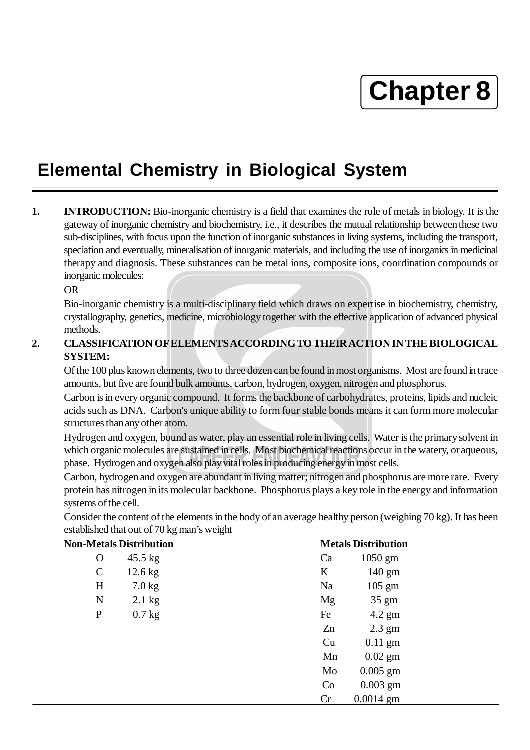# **Chapter 8**

## **Elemental Chemistry in Biological System**

**1. INTRODUCTION:** Bio-inorganic chemistry is a field that examines the role of metals in biology. It is the gateway of inorganic chemistry and biochemistry, i.e., it describes the mutual relationship between these two sub-disciplines, with focus upon the function of inorganic substances in living systems, including the transport, speciation and eventually, mineralisation of inorganic materials, and including the use of inorganics in medicinal therapy and diagnosis. These substances can be metal ions, composite ions, coordination compounds or inorganic molecules:

OR

Bio-inorganic chemistry is a multi-disciplinary field which draws on expertise in biochemistry, chemistry, crystallography, genetics, medicine, microbiology together with the effective application of advanced physical methods.

#### **2. CLASSIFICATION OF ELEMENTS ACCORDINGTO THEIR ACTION IN THE BIOLOGICAL SYSTEM:**

Of the 100 plus known elements, two to three dozen can be found in most organisms. Most are found in trace amounts, but five are found bulk amounts, carbon, hydrogen, oxygen, nitrogen and phosphorus.

Carbon is in every organic compound. It forms the backbone of carbohydrates, proteins, lipids and nucleic acids such as DNA. Carbon's unique ability to form four stable bonds means it can form more molecular structures than any other atom.

Hydrogen and oxygen, bound as water, play an essential role in living cells. Water is the primary solvent in which organic molecules are sustained in cells. Most biochemical reactions occur in the watery, or aqueous, phase. Hydrogen and oxygen also play vital roles in producing energy in most cells.

earbon, nydrogen and oxygen are abundant in itying matter, introgen and phosphorus are more rare. Every Carbon, hydrogen and oxygen are abundant in living matter; nitrogen and phosphorus are more rare. Every systems of the cell.

Consider the content of the elements in the body of an average healthy person (weighing 70 kg). It has been established that out of 70 kg man's weight

| <b>Non-Metals Distribution</b> |                   |    | <b>Metals Distribution</b> |  |
|--------------------------------|-------------------|----|----------------------------|--|
| O                              | $45.5 \text{ kg}$ | Ca | $1050$ gm                  |  |
| $\mathcal{C}$                  | $12.6$ kg         | K  | 140 gm                     |  |
| H                              | $7.0$ kg          | Na | $105 \text{ gm}$           |  |
| N                              | $2.1$ kg          | Mg | $35 \text{ gm}$            |  |
| $\mathbf{P}$                   | $0.7$ kg          | Fe | $4.2$ gm                   |  |
|                                |                   | Zn | $2.3$ gm                   |  |
|                                |                   | Cu | $0.11$ gm                  |  |
|                                |                   | Mn | $0.02$ gm                  |  |
|                                |                   | Mo | $0.005$ gm                 |  |
|                                |                   | Co | $0.003$ gm                 |  |
|                                |                   | Cr | $0.0014$ gm                |  |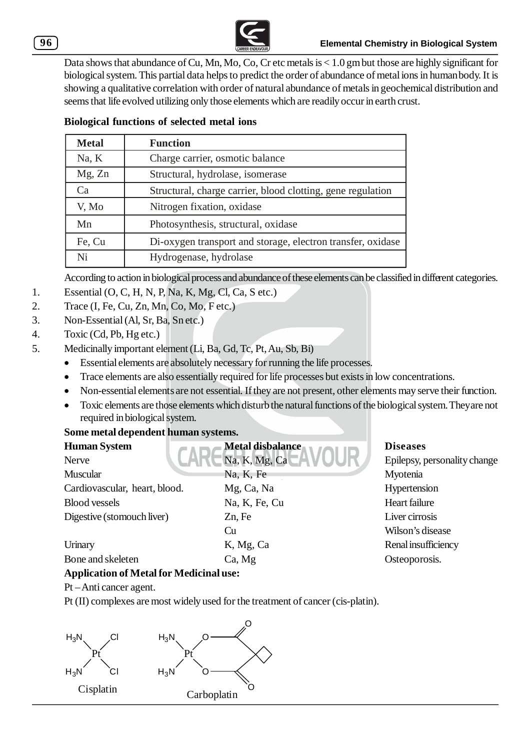Data shows that abundance of Cu, Mn, Mo, Co, Cr etc metals is < 1.0 gm but those are highly significant for biological system. This partial data helps to predict the order of abundance of metal ions in human body. It is showing a qualitative correlation with order of natural abundance of metals in geochemical distribution and seems that life evolved utilizing only those elements which are readily occur in earth crust.

#### **Biological functions of selected metal ions**

| <b>Metal</b> | <b>Function</b>                                             |  |
|--------------|-------------------------------------------------------------|--|
| Na, K        | Charge carrier, osmotic balance                             |  |
| Mg, Zn       | Structural, hydrolase, isomerase                            |  |
| ∴`a          | Structural, charge carrier, blood clotting, gene regulation |  |
| V, Mo        | Nitrogen fixation, oxidase                                  |  |
| Mn           | Photosynthesis, structural, oxidase                         |  |
| Fe, Cu       | Di-oxygen transport and storage, electron transfer, oxidase |  |
| Ni           | Hydrogenase, hydrolase                                      |  |

According to action in biological process and abundance of these elements can be classified in different categories.

- 1. Essential (O, C, H, N, P, Na, K, Mg, Cl, Ca, S etc.)
- 2. Trace (I, Fe, Cu, Zn, Mn, Co, Mo, Fetc.)
- 3. Non-Essential (Al, Sr, Ba, Sn etc.)
- 4. Toxic (Cd, Pb, Hg etc.)
- 5. Medicinally important element (Li, Ba, Gd, Tc, Pt, Au, Sb, Bi)
	- Essential elements are absolutely necessary for running the life processes.
	- Trace elements are also essentially required for life processes but exists in low concentrations.
	- Non-essential elements are not essential. If they are not present, other elements may serve their function.
	- Toxic elements are those elements which disturb the natural functions of the biological system. They are not required in biological system.

#### **Some metal dependent human systems.**

| <b>Human System</b>                            | Metal disbalance | <b>Diseases</b>              |  |  |  |
|------------------------------------------------|------------------|------------------------------|--|--|--|
| Nerve                                          | Na, K, Mg, Ca    | Epilepsy, personality change |  |  |  |
| Muscular                                       | Na, K, Fe        | Myotenia                     |  |  |  |
| Cardiovascular, heart, blood.                  | Mg, Ca, Na       | Hypertension                 |  |  |  |
| <b>Blood vessels</b>                           | Na, K, Fe, Cu    | Heart failure                |  |  |  |
| Digestive (stomouch liver)                     | Zn, Fe           | Liver cirrosis               |  |  |  |
|                                                | Cu               | Wilson's disease             |  |  |  |
| Urinary                                        | K, Mg, Ca        | Renal insufficiency          |  |  |  |
| Bone and skeleten                              | Ca, Mg           | Osteoporosis.                |  |  |  |
| <b>Application of Metal for Medicinal use:</b> |                  |                              |  |  |  |

Pt – Anti cancer agent.

Pt (II) complexes are most widely used for the treatment of cancer (cis-platin).